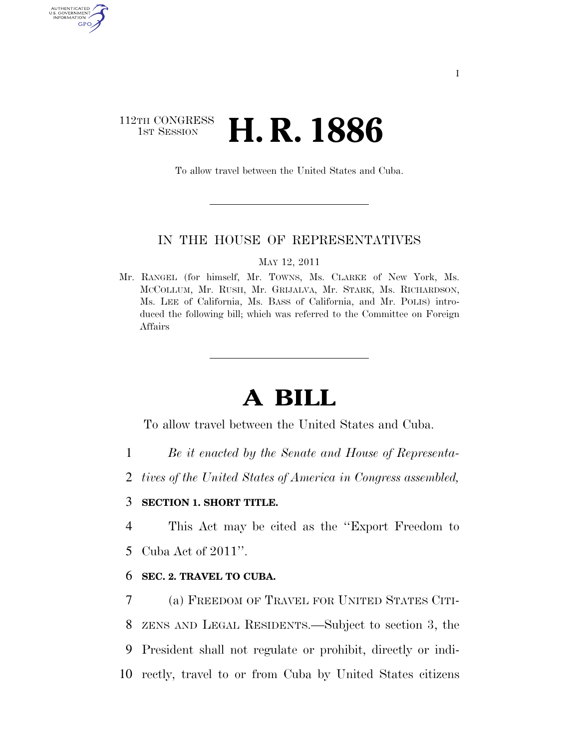## 112TH CONGRESS **1st Session H. R. 1886**

AUTHENTICAT U.S. GOVERNMENT GPO

To allow travel between the United States and Cuba.

#### IN THE HOUSE OF REPRESENTATIVES

MAY 12, 2011

Mr. RANGEL (for himself, Mr. TOWNS, Ms. CLARKE of New York, Ms. MCCOLLUM, Mr. RUSH, Mr. GRIJALVA, Mr. STARK, Ms. RICHARDSON, Ms. LEE of California, Ms. BASS of California, and Mr. POLIS) introduced the following bill; which was referred to the Committee on Foreign Affairs

# **A BILL**

To allow travel between the United States and Cuba.

- 1 *Be it enacted by the Senate and House of Representa-*
- 2 *tives of the United States of America in Congress assembled,*

#### 3 **SECTION 1. SHORT TITLE.**

4 This Act may be cited as the ''Export Freedom to

5 Cuba Act of 2011''.

#### 6 **SEC. 2. TRAVEL TO CUBA.**

 (a) FREEDOM OF TRAVEL FOR UNITED STATES CITI- ZENS AND LEGAL RESIDENTS.—Subject to section 3, the President shall not regulate or prohibit, directly or indi-rectly, travel to or from Cuba by United States citizens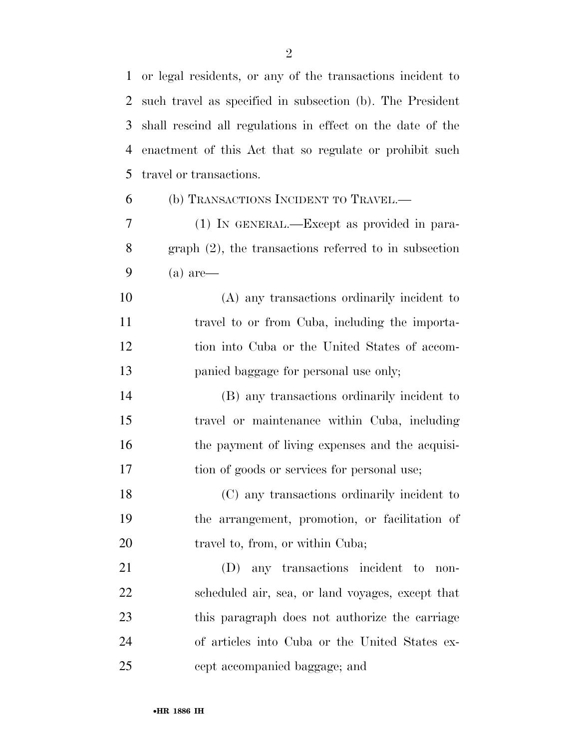or legal residents, or any of the transactions incident to such travel as specified in subsection (b). The President shall rescind all regulations in effect on the date of the enactment of this Act that so regulate or prohibit such

travel or transactions.

#### (b) TRANSACTIONS INCIDENT TO TRAVEL.—

 (1) IN GENERAL.—Except as provided in para- graph (2), the transactions referred to in subsection (a) are—

 (A) any transactions ordinarily incident to travel to or from Cuba, including the importa- tion into Cuba or the United States of accom-panied baggage for personal use only;

 (B) any transactions ordinarily incident to travel or maintenance within Cuba, including 16 the payment of living expenses and the acquisi-tion of goods or services for personal use;

 (C) any transactions ordinarily incident to the arrangement, promotion, or facilitation of 20 travel to, from, or within Cuba;

 (D) any transactions incident to non- scheduled air, sea, or land voyages, except that this paragraph does not authorize the carriage of articles into Cuba or the United States ex-cept accompanied baggage; and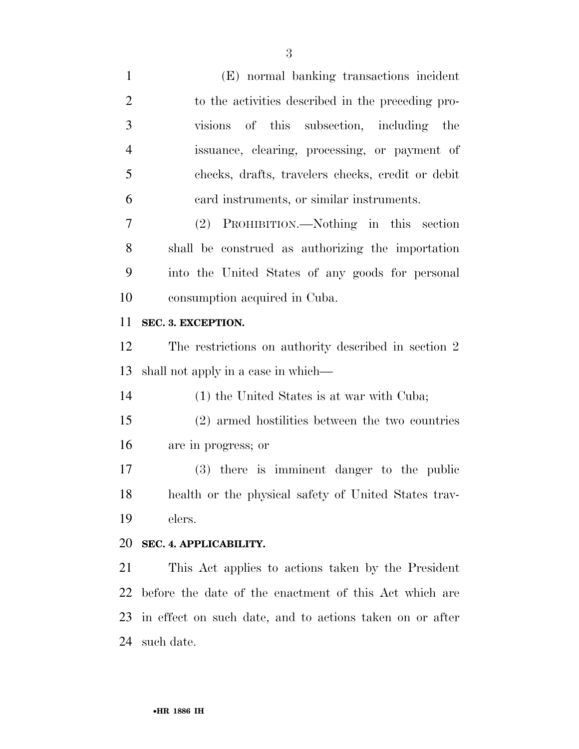| $\mathbf{1}$   | (E) normal banking transactions incident                 |
|----------------|----------------------------------------------------------|
| $\overline{2}$ | to the activities described in the preceding pro-        |
| 3              | visions of this subsection, including the                |
| $\overline{4}$ | issuance, clearing, processing, or payment of            |
| 5              | checks, drafts, travelers checks, credit or debit        |
| 6              | card instruments, or similar instruments.                |
| 7              | (2) PROHIBITION.—Nothing in this section                 |
| 8              | shall be construed as authorizing the importation        |
| 9              | into the United States of any goods for personal         |
| 10             | consumption acquired in Cuba.                            |
| 11             | SEC. 3. EXCEPTION.                                       |
| 12             | The restrictions on authority described in section 2     |
| 13             | shall not apply in a case in which—                      |
| 14             | (1) the United States is at war with Cuba;               |
| 15             | (2) armed hostilities between the two countries          |
| 16             | are in progress; or                                      |
| 17             | (3) there is imminent danger to the public               |
| 18             | health or the physical safety of United States trav-     |
| 19             | elers.                                                   |
| 20             | SEC. 4. APPLICABILITY.                                   |
| 21             | This Act applies to actions taken by the President       |
| 22             | before the date of the enactment of this Act which are   |
| 23             |                                                          |
|                | in effect on such date, and to actions taken on or after |